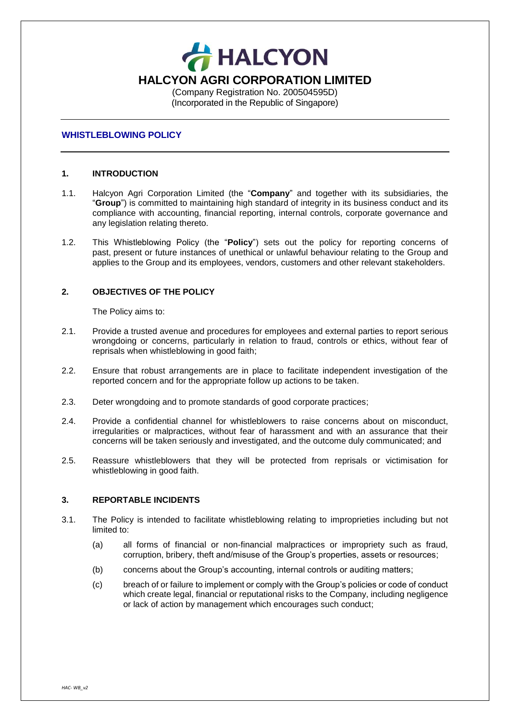**HALCYON HALCYON AGRI CORPORATION LIMITED** (Company Registration No. 200504595D) (Incorporated in the Republic of Singapore)

#### **WHISTLEBLOWING POLICY**

### **1. INTRODUCTION**

- 1.1. Halcyon Agri Corporation Limited (the "**Company**" and together with its subsidiaries, the "**Group**") is committed to maintaining high standard of integrity in its business conduct and its compliance with accounting, financial reporting, internal controls, corporate governance and any legislation relating thereto.
- 1.2. This Whistleblowing Policy (the "**Policy**") sets out the policy for reporting concerns of past, present or future instances of unethical or unlawful behaviour relating to the Group and applies to the Group and its employees, vendors, customers and other relevant stakeholders.

### **2. OBJECTIVES OF THE POLICY**

The Policy aims to:

- 2.1. Provide a trusted avenue and procedures for employees and external parties to report serious wrongdoing or concerns, particularly in relation to fraud, controls or ethics, without fear of reprisals when whistleblowing in good faith;
- 2.2. Ensure that robust arrangements are in place to facilitate independent investigation of the reported concern and for the appropriate follow up actions to be taken.
- 2.3. Deter wrongdoing and to promote standards of good corporate practices;
- 2.4. Provide a confidential channel for whistleblowers to raise concerns about on misconduct, irregularities or malpractices, without fear of harassment and with an assurance that their concerns will be taken seriously and investigated, and the outcome duly communicated; and
- 2.5. Reassure whistleblowers that they will be protected from reprisals or victimisation for whistleblowing in good faith.

### **3. REPORTABLE INCIDENTS**

- 3.1. The Policy is intended to facilitate whistleblowing relating to improprieties including but not limited to:
	- (a) all forms of financial or non-financial malpractices or impropriety such as fraud, corruption, bribery, theft and/misuse of the Group's properties, assets or resources;
	- (b) concerns about the Group's accounting, internal controls or auditing matters;
	- (c) breach of or failure to implement or comply with the Group's policies or code of conduct which create legal, financial or reputational risks to the Company, including negligence or lack of action by management which encourages such conduct;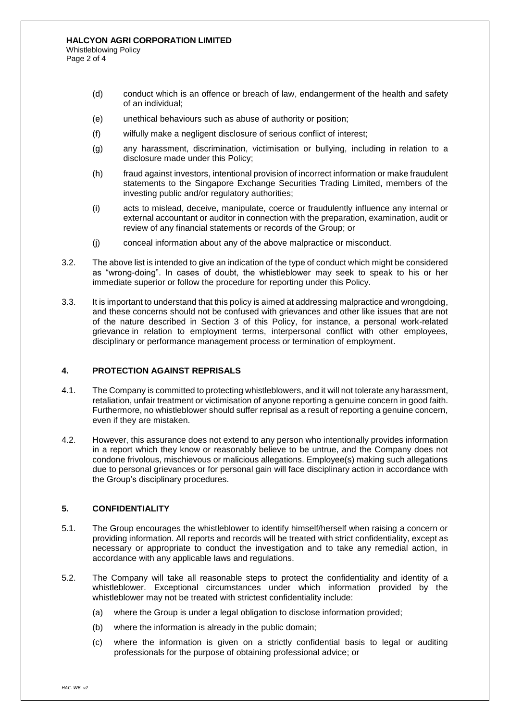- (d) conduct which is an offence or breach of law, endangerment of the health and safety of an individual;
- (e) unethical behaviours such as abuse of authority or position;
- (f) wilfully make a negligent disclosure of serious conflict of interest;
- (g) any harassment, discrimination, victimisation or bullying, including in relation to a disclosure made under this Policy;
- (h) fraud against investors, intentional provision of incorrect information or make fraudulent statements to the Singapore Exchange Securities Trading Limited, members of the investing public and/or regulatory authorities;
- (i) acts to mislead, deceive, manipulate, coerce or fraudulently influence any internal or external accountant or auditor in connection with the preparation, examination, audit or review of any financial statements or records of the Group; or
- (j) conceal information about any of the above malpractice or misconduct.
- 3.2. The above list is intended to give an indication of the type of conduct which might be considered as "wrong-doing". In cases of doubt, the whistleblower may seek to speak to his or her immediate superior or follow the procedure for reporting under this Policy.
- 3.3. It is important to understand that this policy is aimed at addressing malpractice and wrongdoing, and these concerns should not be confused with grievances and other like issues that are not of the nature described in Section 3 of this Policy, for instance, a personal work-related grievance in relation to employment terms, interpersonal conflict with other employees, disciplinary or performance management process or termination of employment.

### **4. PROTECTION AGAINST REPRISALS**

- 4.1. The Company is committed to protecting whistleblowers, and it will not tolerate any harassment, retaliation, unfair treatment or victimisation of anyone reporting a genuine concern in good faith. Furthermore, no whistleblower should suffer reprisal as a result of reporting a genuine concern, even if they are mistaken.
- 4.2. However, this assurance does not extend to any person who intentionally provides information in a report which they know or reasonably believe to be untrue, and the Company does not condone frivolous, mischievous or malicious allegations. Employee(s) making such allegations due to personal grievances or for personal gain will face disciplinary action in accordance with the Group's disciplinary procedures.

## **5. CONFIDENTIALITY**

- 5.1. The Group encourages the whistleblower to identify himself/herself when raising a concern or providing information. All reports and records will be treated with strict confidentiality, except as necessary or appropriate to conduct the investigation and to take any remedial action, in accordance with any applicable laws and regulations.
- 5.2. The Company will take all reasonable steps to protect the confidentiality and identity of a whistleblower. Exceptional circumstances under which information provided by the whistleblower may not be treated with strictest confidentiality include:
	- (a) where the Group is under a legal obligation to disclose information provided;
	- (b) where the information is already in the public domain;
	- (c) where the information is given on a strictly confidential basis to legal or auditing professionals for the purpose of obtaining professional advice; or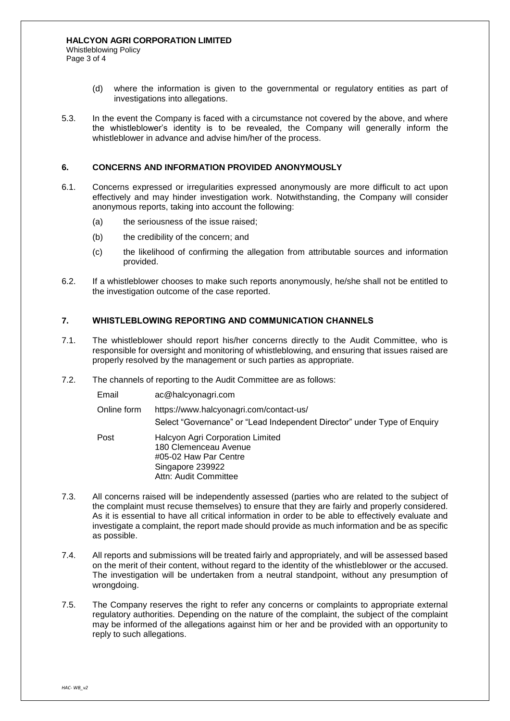- (d) where the information is given to the governmental or regulatory entities as part of investigations into allegations.
- 5.3. In the event the Company is faced with a circumstance not covered by the above, and where the whistleblower's identity is to be revealed, the Company will generally inform the whistleblower in advance and advise him/her of the process.

### **6. CONCERNS AND INFORMATION PROVIDED ANONYMOUSLY**

- 6.1. Concerns expressed or irregularities expressed anonymously are more difficult to act upon effectively and may hinder investigation work. Notwithstanding, the Company will consider anonymous reports, taking into account the following:
	- (a) the seriousness of the issue raised:
	- (b) the credibility of the concern; and
	- (c) the likelihood of confirming the allegation from attributable sources and information provided.
- 6.2. If a whistleblower chooses to make such reports anonymously, he/she shall not be entitled to the investigation outcome of the case reported.

## **7. WHISTLEBLOWING REPORTING AND COMMUNICATION CHANNELS**

- 7.1. The whistleblower should report his/her concerns directly to the Audit Committee, who is responsible for oversight and monitoring of whistleblowing, and ensuring that issues raised are properly resolved by the management or such parties as appropriate.
- 7.2. The channels of reporting to the Audit Committee are as follows:

| Email       | ac@halcyonagri.com                                                                                                              |
|-------------|---------------------------------------------------------------------------------------------------------------------------------|
| Online form | https://www.halcyonagri.com/contact-us/<br>Select "Governance" or "Lead Independent Director" under Type of Enquiry             |
| Post        | Halcyon Agri Corporation Limited<br>180 Clemenceau Avenue<br>#05-02 Haw Par Centre<br>Singapore 239922<br>Attn: Audit Committee |

- 7.3. All concerns raised will be independently assessed (parties who are related to the subject of the complaint must recuse themselves) to ensure that they are fairly and properly considered. As it is essential to have all critical information in order to be able to effectively evaluate and investigate a complaint, the report made should provide as much information and be as specific as possible.
- 7.4. All reports and submissions will be treated fairly and appropriately, and will be assessed based on the merit of their content, without regard to the identity of the whistleblower or the accused. The investigation will be undertaken from a neutral standpoint, without any presumption of wrongdoing.
- 7.5. The Company reserves the right to refer any concerns or complaints to appropriate external regulatory authorities. Depending on the nature of the complaint, the subject of the complaint may be informed of the allegations against him or her and be provided with an opportunity to reply to such allegations.